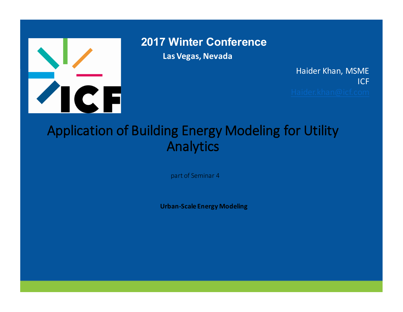

**2017 Winter Conference**

**Las Vegas, Nevada**

Haider Khan, MSME ICF

#### PRESENTATION AND ANNUAL CONTRACTOR CONTRACTOR CONTRACTOR CONTRACTOR CONTRACTOR CONTRACTOR CONTRACTOR CONTRACTO<br>PRESENTATION CONTRACTOR CONTRACTOR CONTRACTOR CONTRACTOR CONTRACTOR CONTRACTOR CONTRACTOR CONTRACTOR CONTRACTO<br> Application of Building Energy Modeling for Utility Analytics

part of Seminar 4

Urban-Scale Energy Modeling<br>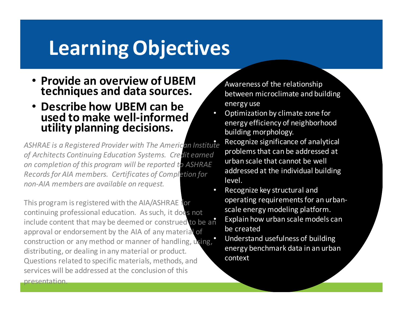### **Learning Objectives**

- **Provide an overview of UBEM techniques and data sources.**
- **Describe how UBEM can be** used to make well-informed **utility planning decisions.**

gistered Provider with The American Institute<br>Intinuing Education Systems. Credit earned<br>Intinuing Education Systems. Credit earned<br>Internation for addressed at the individual buil ASHRAE is a Registered Provider with The American Institute of Architects Continuing Education Systems. Creclit earned on completion of this program will be reported to ASHRAE *Records for AIA members. Certificates of Completion for non-AIA members are available on request.*

This program is registered with the AIA/ASHINAL TOR<br>continuing professional education. As such, it does not This program is registered with the AIA/ASHRAE for include content that may be deemed or construed to be an approval or endorsement by the AIA of any material of construction or any method or manner of handling, using, distributing, or dealing in any material or product. Questions related to specific materials, methods, and services will be addressed at the conclusion of this

presentation.

Awareness of the relationship between microclimate and building energy use

- Optimization by climate zone for energy efficiency of neighborhood building morphology.
	- Recognize significance of analytical problems that can be addressed at urban scale that cannot be well addressed at the individual building level.
- PRESENTED & R Recognize key structural and operating requirements for an urbanscale energy modeling platform.
	- Explain how urban scale models can be created
	- Understand usefulness of building energy benchmark data in an urban context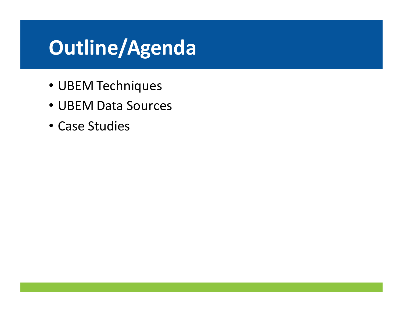# **Outline/Agenda**

- UBEM Techniques
- UBEM Data Sources
- Case Studies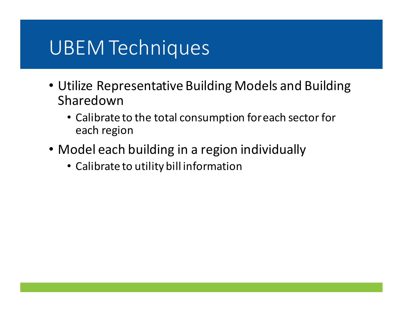## UBEM Techniques

- Utilize Representative Building Models and Building Sharedown
	- Calibrate to the total consumption for each sector for each region
- Model each building in a region individually<br>• Calibrate to utility bill information
	- Calibrate to utility bill information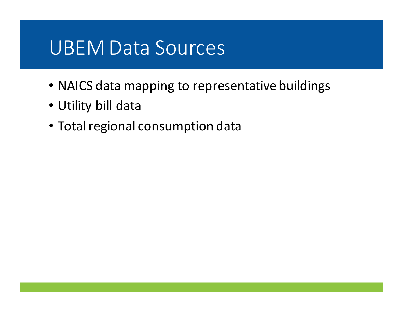### UBEM Data Sources

- NAICS data mapping to representative buildings
- Utility bill data
- Total regional consumption data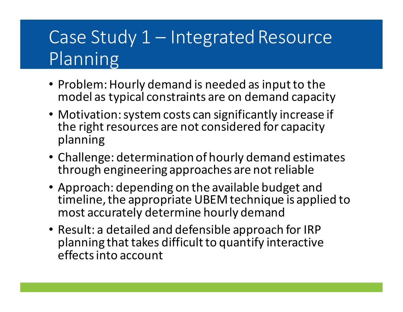## Case Study 1 – Integrated Resource Planning

- Problem: Hourly demand is needed as input to the model as typical constraints are on demand capacity
- Motivation: system costs can significantly increase if the right resources are not considered for capacity planning
- allenge: determination of hourly demand estima<br>ough engineering approaches are not reliable • Challenge: determination of hourly demand estimates through engineering approaches are not reliable
- Approach: depending on the available budget and most accurately determine hourly demand timeline, the appropriate UBEM technique is applied to
- Result: a detailed and defensible approach for IRP planning that takes difficult to quantify interactive effects into account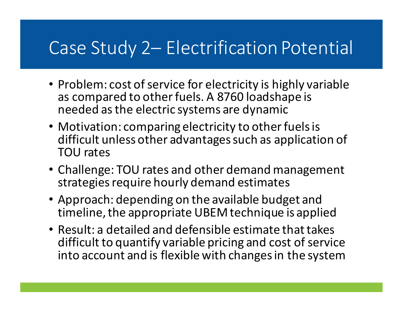### Case Study 2 - Electrification Potential

- Problem: cost of service for electricity is highly variable as compared to other fuels. A 8760 loadshape is needed as the electric systems are dynamic
- TOU rates<br>• Challenge: TOU rates and other demand management • Motivation: comparing electricity to other fuels is difficult unless other advantages such as application of TOU rates
- Privation de la procession de la procession de la procession de la procession de la procession de la processio<br>De la procession de la procession de la procession de la procession de la procession de la procession de la pr strategies require hourly demand estimates
- timeline, the appropriate UBEM technique is applied • Approach: depending on the available budget and
- Result: a detailed and defensible estimate that takes difficult to quantify variable pricing and cost of service into account and is flexible with changes in the system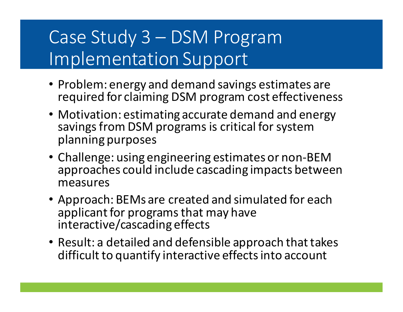### Case Study 3 – DSM Program Implementation Support

- Problem: energy and demand savings estimates are required for claiming DSM program cost effectiveness
- Motivation: estimating accurate demand and energy savings from DSM programs is critical for system planning purposes
- allenge: using engineering estimates or non-BEN<br>proaches could include cascading impacts betwe PRESENTER • Challenge: using engineering estimates or non-BEM approaches could include cascading impacts between measures
- applicant for programs that may have • Approach: BEMs are created and simulated for each interactive/cascading effects
- Result: a detailed and defensible approach that takes difficult to quantify interactive effects into account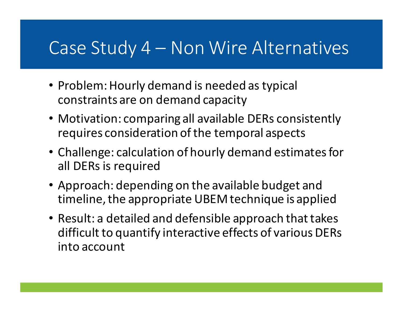#### Case Study 4 – Non Wire Alternatives

- Problem: Hourly demand is needed as typical constraints are on demand capacity
- Motivation: comparing all available DERs consistently requires consideration of the temporal aspects
- Challenge: calculation of hourly demand estimates for<br>all DERs is required all DERs is required
- OILITÉ dVd,<br>Contra de la contra • Approach: depending on the available budget and timeline, the appropriate UBEM technique is applied
- $\overline{\phantom{a}}$ • Result: a detailed and defensible approach that takes difficult to quantify interactive effects of various DERs into account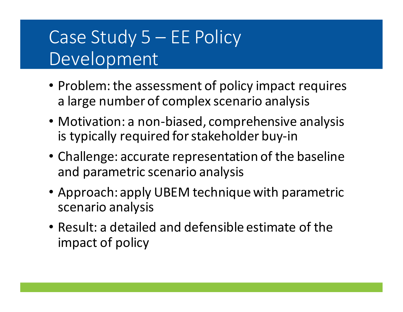### Case Study 5 – EE Policy Development

- Problem: the assessment of policy impact requires a large number of complex scenario analysis
- Motivation: a non-biased, comprehensive analysis is typically required for stakeholder buy-in
- allenge: accurate representation of the basel<br>dinarametric scenario analysis • Challenge: accurate representation of the baseline and parametric scenario analysis
- Approach: apply UBEM technique with parametric scenario analysis
- Result: a detailed and defensible estimate of the impact of policy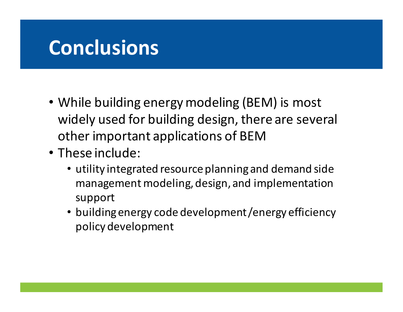### **Conclusions**

- While building energy modeling (BEM) is most widely used for building design, there are several other important applications of BEM
- These include:
- hese i<mark>nclude:</mark><br>• utility integrated resource planning and demand side mig, ucsign, management modeling, design, and implementation support
	- building energy code development /energy efficiency policy development